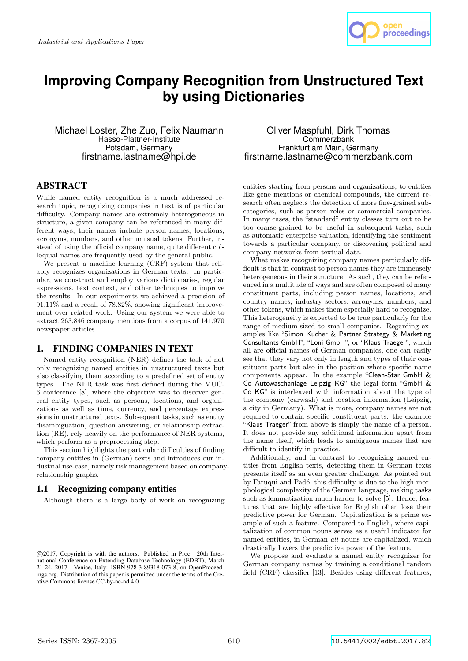

# **Improving Company Recognition from Unstructured Text by using Dictionaries**

Michael Loster, Zhe Zuo, Felix Naumann Hasso-Plattner-Institute Potsdam, Germany firstname.lastname@hpi.de

### Oliver Maspfuhl, Dirk Thomas **Commerzbank** Frankfurt am Main, Germany firstname.lastname@commerzbank.com

# ABSTRACT

While named entity recognition is a much addressed research topic, recognizing companies in text is of particular difficulty. Company names are extremely heterogeneous in structure, a given company can be referenced in many different ways, their names include person names, locations, acronyms, numbers, and other unusual tokens. Further, instead of using the official company name, quite different colloquial names are frequently used by the general public.

We present a machine learning (CRF) system that reliably recognizes organizations in German texts. In particular, we construct and employ various dictionaries, regular expressions, text context, and other techniques to improve the results. In our experiments we achieved a precision of 91.11% and a recall of 78.82%, showing significant improvement over related work. Using our system we were able to extract 263,846 company mentions from a corpus of 141,970 newspaper articles.

# 1. FINDING COMPANIES IN TEXT

Named entity recognition (NER) defines the task of not only recognizing named entities in unstructured texts but also classifying them according to a predefined set of entity types. The NER task was first defined during the MUC-6 conference [8], where the objective was to discover general entity types, such as persons, locations, and organizations as well as time, currency, and percentage expressions in unstructured texts. Subsequent tasks, such as entity disambiguation, question answering, or relationship extraction (RE), rely heavily on the performance of NER systems, which perform as a preprocessing step.

This section highlights the particular difficulties of finding company entities in (German) texts and introduces our industrial use-case, namely risk management based on companyrelationship graphs.

# 1.1 Recognizing company entities

Although there is a large body of work on recognizing

entities starting from persons and organizations, to entities like gene mentions or chemical compounds, the current research often neglects the detection of more fine-grained subcategories, such as person roles or commercial companies. In many cases, the "standard" entity classes turn out to be too coarse-grained to be useful in subsequent tasks, such as automatic enterprise valuation, identifying the sentiment towards a particular company, or discovering political and company networks from textual data.

What makes recognizing company names particularly difficult is that in contrast to person names they are immensely heterogeneous in their structure. As such, they can be referenced in a multitude of ways and are often composed of many constituent parts, including person names, locations, and country names, industry sectors, acronyms, numbers, and other tokens, which makes them especially hard to recognize. This heterogeneity is expected to be true particularly for the range of medium-sized to small companies. Regarding examples like "Simon Kucher & Partner Strategy & Marketing Consultants GmbH", "Loni GmbH", or "Klaus Traeger", which all are official names of German companies, one can easily see that they vary not only in length and types of their constituent parts but also in the position where specific name components appear. In the example "Clean-Star GmbH & Co Autowaschanlage Leipzig KG" the legal form "GmbH & Co KG" is interleaved with information about the type of the company (carwash) and location information (Leipzig, a city in Germany). What is more, company names are not required to contain specific constituent parts: the example "Klaus Traeger" from above is simply the name of a person. It does not provide any additional information apart from the name itself, which leads to ambiguous names that are difficult to identify in practice.

Additionally, and in contrast to recognizing named entities from English texts, detecting them in German texts presents itself as an even greater challenge. As pointed out by Faruqui and Padó, this difficulty is due to the high morphological complexity of the German language, making tasks such as lemmatization much harder to solve [5]. Hence, features that are highly effective for English often lose their predictive power for German. Capitalization is a prime example of such a feature. Compared to English, where capitalization of common nouns serves as a useful indicator for named entities, in German all nouns are capitalized, which drastically lowers the predictive power of the feature.

We propose and evaluate a named entity recognizer for German company names by training a conditional random field (CRF) classifier [13]. Besides using different features,

c 2017, Copyright is with the authors. Published in Proc. 20th International Conference on Extending Database Technology (EDBT), March 21-24, 2017 - Venice, Italy: ISBN 978-3-89318-073-8, on OpenProceedings.org. Distribution of this paper is permitted under the terms of the Creative Commons license CC-by-nc-nd 4.0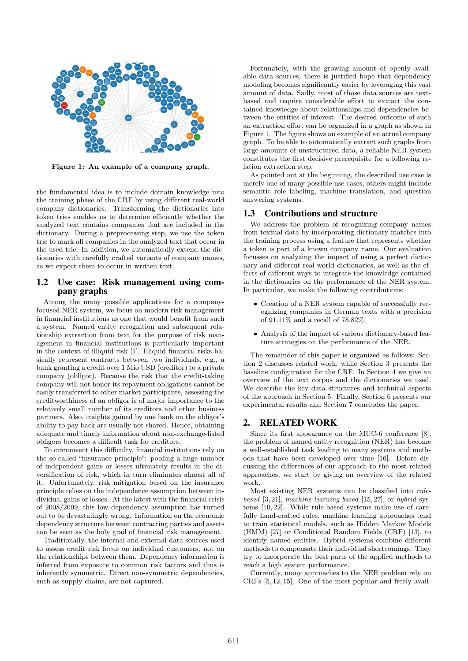

Figure 1: An example of a company graph.

the fundamental idea is to include domain knowledge into the training phase of the CRF by using different real-world company dictionaries. Transforming the dictionaries into token tries enables us to determine efficiently whether the analyzed text contains companies that are included in the dictionary. During a preprocessing step, we use the token trie to mark all companies in the analyzed text that occur in the used trie. In addition, we automatically extend the dictionaries with carefully crafted variants of company names, as we expect them to occur in written text.

### 1.2 Use case: Risk management using company graphs

Among the many possible applications for a companyfocused NER system, we focus on modern risk management in financial institutions as one that would benefit from such a system. Named entity recognition and subsequent relationship extraction from text for the purpose of risk management in financial institutions is particularly important in the context of illiquid risk [1]. Illiquid financial risks basically represent contracts between two individuals, e.g., a bank granting a credit over 1 Mio USD (creditor) to a private company (obligor). Because the risk that the credit-taking company will not honor its repayment obligations cannot be easily transferred to other market participants, assessing the creditworthiness of an obligor is of major importance to the relatively small number of its creditors and other business partners. Also, insights gained by one bank on the obligor's ability to pay back are usually not shared. Hence, obtaining adequate and timely information about non-exchange-listed obligors becomes a difficult task for creditors.

To circumvent this difficulty, financial institutions rely on the so-called "insurance principle": pooling a huge number of independent gains or losses ultimately results in the diversification of risk, which in turn eliminates almost all of it. Unfortunately, risk mitigation based on the insurance principle relies on the independence assumption between individual gains or losses. At the latest with the financial crisis of 2008/2009, this low dependency assumption has turned out to be devastatingly wrong. Information on the economic dependency structure between contracting parties and assets can be seen as the holy grail of financial risk management.

Traditionally, the internal and external data sources used to assess credit risk focus on individual customers, not on the relationships between them. Dependency information is inferred from exposure to common risk factors and thus is inherently symmetric. Direct non-symmetric dependencies, such as supply chains, are not captured.

Fortunately, with the growing amount of openly available data sources, there is justified hope that dependency modeling becomes significantly easier by leveraging this vast amount of data. Sadly, most of those data sources are textbased and require considerable effort to extract the contained knowledge about relationships and dependencies between the entities of interest. The desired outcome of such an extraction effort can be organized in a graph as shown in Figure 1. The figure shows an example of an actual company graph. To be able to automatically extract such graphs from large amounts of unstructured data, a reliable NER system constitutes the first decisive prerequisite for a following relation extraction step.

As pointed out at the beginning, the described use case is merely one of many possible use cases, others might include semantic role labeling, machine translation, and question answering systems.

### 1.3 Contributions and structure

We address the problem of recognizing company names from textual data by incorporating dictionary matches into the training process using a feature that represents whether a token is part of a known company name. Our evaluation focusses on analyzing the impact of using a perfect dictionary and different real-world dictionaries, as well as the effects of different ways to integrate the knowledge contained in the dictionaries on the performance of the NER system. In particular, we make the following contributions:

- Creation of a NER system capable of successfully recognizing companies in German texts with a precision of  $91.11\%$  and a recall of  $78.82\%.$
- Analysis of the impact of various dictionary-based feature strategies on the performance of the NER.

The remainder of this paper is organized as follows: Section 2 discusses related work, while Section 3 presents the baseline configuration for the CRF. In Section 4 we give an overview of the text corpus and the dictionaries we used. We describe the key data structures and technical aspects of the approach in Section 5. Finally, Section 6 presents our experimental results and Section 7 concludes the paper.

#### 2. RELATED WORK

Since its first appearance on the MUC-6 conference [8], the problem of named entity recognition (NER) has become a well-established task leading to many systems and methods that have been developed over time [16]. Before discussing the differences of our approach to the most related approaches, we start by giving an overview of the related work.

Most existing NER systems can be classified into rulebased  $[3, 21]$ , machine learning-based  $[15, 27]$ , or hybrid systems [10, 22]. While rule-based systems make use of carefully hand-crafted rules, machine learning approaches tend to train statistical models, such as Hidden Markov Models (HMM) [27] or Conditional Random Fields (CRF) [13], to identify named entities. Hybrid systems combine different methods to compensate their individual shortcomings. They try to incorporate the best parts of the applied methods to reach a high system performance.

Currently, many approaches to the NER problem rely on CRFs [5, 12, 15]. One of the most popular and freely avail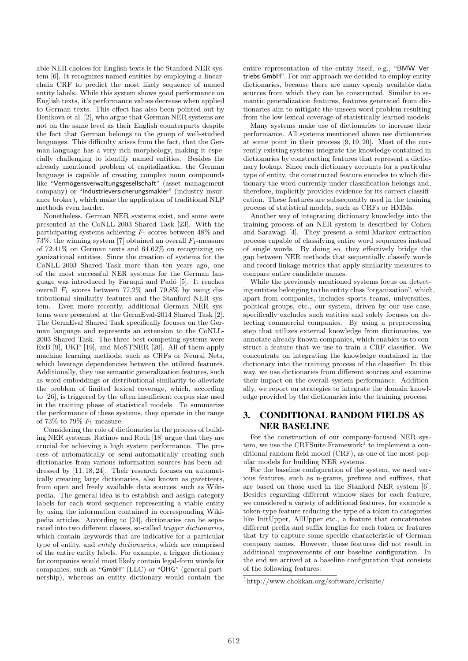able NER choices for English texts is the Stanford NER system [6]. It recognizes named entities by employing a linearchain CRF to predict the most likely sequence of named entity labels. While this system shows good performance on English texts, it's performance values decrease when applied to German texts. This effect has also been pointed out by Benikova et al. [2], who argue that German NER systems are not on the same level as their English counterparts despite the fact that German belongs to the group of well-studied languages. This difficulty arises from the fact, that the German language has a very rich morphology, making it especially challenging to identify named entities. Besides the already mentioned problem of capitalization, the German language is capable of creating complex noun compounds like "Vermögensverwaltungsgesellschaft" (asset management company) or "Industrieversicherungsmakler" (industry insurance broker), which make the application of traditional NLP methods even harder.

Nonetheless, German NER systems exist, and some were presented at the CoNLL-2003 Shared Task [23]. With the participating systems achieving  $F_1$  scores between 48% and 73%, the winning system [7] obtained an overall  $F_1$ -measure of 72.41% on German texts and 64.62% on recognizing organizational entities. Since the creation of systems for the CoNLL-2003 Shared Task more than ten years ago, one of the most successful NER systems for the German language was introduced by Faruqui and Padó [5]. It reaches overall  $F_1$  scores between 77.2% and 79.8% by using distributional similarity features and the Stanford NER system. Even more recently, additional German NER systems were presented at the GermEval-2014 Shared Task [2]. The GermEval Shared Task specifically focuses on the German language and represents an extension to the CoNLL-2003 Shared Task. The three best competing systems were ExB [9], UKP [19], and MoSTNER [20]. All of them apply machine learning methods, such as CRFs or Neural Nets, which leverage dependencies between the utilized features. Additionally, they use semantic generalization features, such as word embeddings or distributional similarity to alleviate the problem of limited lexical coverage, which, according to [26], is triggered by the often insufficient corpus size used in the training phase of statistical models. To summarize the performance of these systems, they operate in the range of 73% to 79%  $F_1$ -measure.

Considering the role of dictionaries in the process of building NER systems, Ratinov and Roth [18] argue that they are crucial for achieving a high system performance. The process of automatically or semi-automatically creating such dictionaries from various information sources has been addressed by [11, 18, 24]. Their research focuses on automatically creating large dictionaries, also known as gazetteers, from open and freely available data sources, such as Wikipedia. The general idea is to establish and assign category labels for each word sequence representing a viable entity by using the information contained in corresponding Wikipedia articles. According to [24], dictionaries can be separated into two different classes, so-called trigger dictionaries, which contain keywords that are indicative for a particular type of entity, and entity dictionaries, which are comprised of the entire entity labels. For example, a trigger dictionary for companies would most likely contain legal-form words for companies, such as "GmbH" (LLC) or "OHG" (general partnership), whereas an entity dictionary would contain the entire representation of the entity itself, e.g., "BMW Vertriebs GmbH". For our approach we decided to employ entity dictionaries, because there are many openly available data sources from which they can be constructed. Similar to semantic generalization features, features generated from dictionaries aim to mitigate the unseen word problem resulting from the low lexical coverage of statistically learned models.

Many systems make use of dictionaries to increase their performance. All systems mentioned above use dictionaries at some point in their process [9, 19, 20]. Most of the currently existing systems integrate the knowledge contained in dictionaries by constructing features that represent a dictionary lookup. Since each dictionary accounts for a particular type of entity, the constructed feature encodes to which dictionary the word currently under classification belongs and, therefore, implicitly provides evidence for its correct classification. These features are subsequently used in the training process of statistical models, such as CRFs or HMMs.

Another way of integrating dictionary knowledge into the training process of an NER system is described by Cohen and Sarawagi [4]. They present a semi-Markov extraction process capable of classifying entire word sequences instead of single words. By doing so, they effectively bridge the gap between NER methods that sequentially classify words and record linkage metrics that apply similarity measures to compare entire candidate names.

While the previously mentioned systems focus on detecting entities belonging to the entity class"organization", which, apart from companies, includes sports teams, universities, political groups, etc., our system, driven by our use case, specifically excludes such entities and solely focuses on detecting commercial companies. By using a preprocessing step that utilizes external knowledge from dictionaries, we annotate already known companies, which enables us to construct a feature that we use to train a CRF classifier. We concentrate on integrating the knowledge contained in the dictionary into the training process of the classifier. In this way, we use dictionaries from different sources and examine their impact on the overall system performance. Additionally, we report on strategies to integrate the domain knowledge provided by the dictionaries into the training process.

## 3. CONDITIONAL RANDOM FIELDS AS NER BASELINE

For the construction of our company-focused NER sys $tem, we use the CRFSuite Framework<sup>1</sup> to implement a con$ ditional random field model (CRF), as one of the most popular models for building NER systems.

For the baseline configuration of the system, we used various features, such as n-grams, prefixes and suffixes, that are based on those used in the Stanford NER system [6]. Besides regarding different window sizes for each feature, we considered a variety of additional features, for example a token-type feature reducing the type of a token to categories like InitUpper, AllUpper etc., a feature that concatenates different prefix and suffix lengths for each token or features that try to capture some specific characteristic of German company names. However, these features did not result in additional improvements of our baseline configuration. In the end we arrived at a baseline configuration that consists of the following features:

<sup>1</sup>http://www.chokkan.org/software/crfsuite/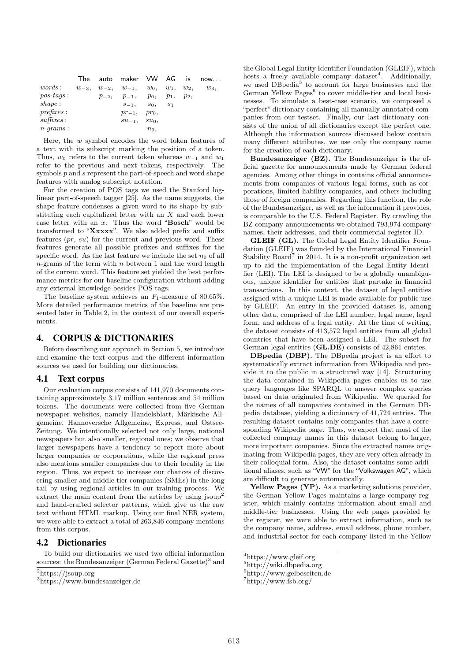|             |  | The auto maker VW AG is now                              |         |  |         |
|-------------|--|----------------------------------------------------------|---------|--|---------|
| words:      |  | $w_{-3}$ , $w_{-2}$ , $w_{-1}$ , $w_0$ , $w_1$ , $w_2$ , |         |  | $w_3$ , |
| $pos-tags:$ |  | $p_{-2}, p_{-1}, p_0, p_1, p_2,$                         |         |  |         |
| shape:      |  | $S_{-1}$ , $S_0$ , $S_1$                                 |         |  |         |
| prefixes:   |  | $pr_{-1}, pr_0,$                                         |         |  |         |
| suffices:   |  | $su_{-1}, \quad su_0,$                                   |         |  |         |
| $n$ -grams: |  |                                                          | $n_0$ , |  |         |

Here, the  $w$  symbol encodes the word token features of a text with its subscript marking the position of a token. Thus,  $w_0$  refers to the current token whereas  $w_{-1}$  and  $w_1$ refer to the previous and next tokens, respectively. The symbols  $p$  and  $s$  represent the part-of-speech and word shape features with analog subscript notation.

For the creation of POS tags we used the Stanford loglinear part-of-speech tagger [25]. As the name suggests, the shape feature condenses a given word to its shape by substituting each capitalized letter with an X and each lower case letter with an  $x$ . Thus the word "**Bosch**" would be transformed to "Xxxxx". We also added prefix and suffix features  $(pr, su)$  for the current and previous word. These features generate all possible prefixes and suffixes for the specific word. As the last feature we include the set  $n_0$  of all  $n$ -grams of the term with n between 1 and the word length of the current word. This feature set yielded the best performance metrics for our baseline configuration without adding any external knowledge besides POS tags.

The baseline system achieves an  $F_1$ -measure of 80.65%. More detailed performance metrics of the baseline are presented later in Table 2, in the context of our overall experiments.

# 4. CORPUS & DICTIONARIES

Before describing our approach in Section 5, we introduce and examine the text corpus and the different information sources we used for building our dictionaries.

### 4.1 Text corpus

Our evaluation corpus consists of 141,970 documents containing approximately 3.17 million sentences and 54 million tokens. The documents were collected from five German newspaper websites, namely Handelsblatt, Märkische Allgemeine, Hannoversche Allgemeine, Express, and Ostsee-Zeitung. We intentionally selected not only large, national newspapers but also smaller, regional ones; we observe that larger newspapers have a tendency to report more about larger companies or corporations, while the regional press also mentions smaller companies due to their locality in the region. Thus, we expect to increase our chances of discovering smaller and middle tier companies (SMEs) in the long tail by using regional articles in our training process. We extract the main content from the articles by using jsoup<sup>2</sup> and hand-crafted selector patterns, which give us the raw text without HTML markup. Using our final NER system, we were able to extract a total of 263,846 company mentions from this corpus.

### 4.2 Dictionaries

To build our dictionaries we used two official information sources: the Bundesanzeiger (German Federal Gazette)<sup>3</sup> and the Global Legal Entity Identifier Foundation (GLEIF), which hosts a freely available company dataset<sup>4</sup>. Additionally, we used DBpedia<sup>5</sup> to account for large businesses and the German Yellow Pages $<sup>6</sup>$  to cover middle-tier and local busi-</sup> nesses. To simulate a best-case scenario, we composed a "perfect" dictionary containing all manually annotated companies from our testset. Finally, our last dictionary consists of the union of all dictionaries except the perfect one. Although the information sources discussed below contain many different attributes, we use only the company name for the creation of each dictionary.

Bundesanzeiger (BZ). The Bundesanzeiger is the official gazette for announcements made by German federal agencies. Among other things in contains official announcements from companies of various legal forms, such as corporations, limited liability companies, and others including those of foreign companies. Regarding this function, the role of the Bundesanzeiger, as well as the information it provides, is comparable to the U.S. Federal Register. By crawling the BZ company announcements we obtained 793,974 company names, their addresses, and their commercial register ID.

GLEIF (GL). The Global Legal Entity Identifier Foundation (GLEIF) was founded by the International Financial Stability Board<sup>7</sup> in 2014. It is a non-profit organization set up to aid the implementation of the Legal Entity Identifier (LEI). The LEI is designed to be a globally unambiguous, unique identifier for entities that partake in financial transactions. In this context, the dataset of legal entities assigned with a unique LEI is made available for public use by GLEIF. An entry in the provided dataset is, among other data, comprised of the LEI number, legal name, legal form, and address of a legal entity. At the time of writing, the dataset consists of 413,572 legal entities from all global countries that have been assigned a LEI. The subset for German legal entities (GL.DE) consists of 42,861 entries.

DBpedia (DBP). The DBpedia project is an effort to systematically extract information from Wikipedia and provide it to the public in a structured way [14]. Structuring the data contained in Wikipedia pages enables us to use query languages like SPARQL to answer complex queries based on data originated from Wikipedia. We queried for the names of all companies contained in the German DBpedia database, yielding a dictionary of 41,724 entries. The resulting dataset contains only companies that have a corresponding Wikipedia page. Thus, we expect that most of the collected company names in this dataset belong to larger, more important companies. Since the extracted names originating from Wikipedia pages, they are very often already in their colloquial form. Also, the dataset contains some additional aliases, such as "VW" for the "Volkswagen AG", which are difficult to generate automatically.

Yellow Pages (YP). As a marketing solutions provider, the German Yellow Pages maintains a large company register, which mainly contains information about small and middle-tier businesses. Using the web pages provided by the register, we were able to extract information, such as the company name, address, email address, phone number, and industrial sector for each company listed in the Yellow

<sup>2</sup>https://jsoup.org

<sup>3</sup>https://www.bundesanzeiger.de

 $4$ https://www.gleif.org

<sup>5</sup>http://wiki.dbpedia.org

<sup>6</sup>http://www.gelbeseiten.de

 $7$ http://www.fsb.org/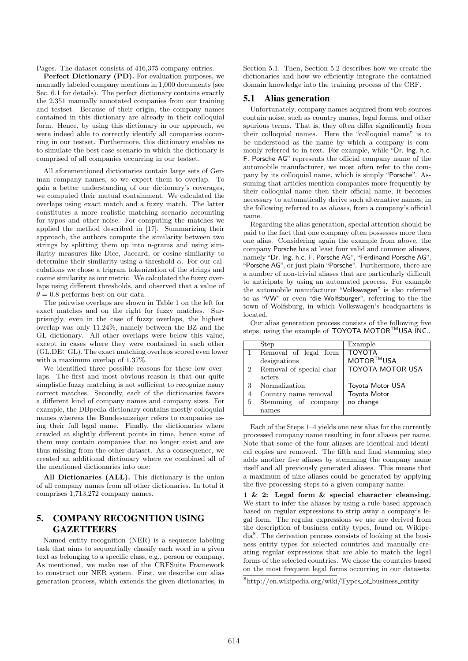Pages. The dataset consists of 416,375 company entries.

Perfect Dictionary (PD). For evaluation purposes, we manually labeled company mentions in 1,000 documents (see Sec. 6.1 for details). The perfect dictionary contains exactly the 2,351 manually annotated companies from our training and testset. Because of their origin, the company names contained in this dictionary are already in their colloquial form. Hence, by using this dictionary in our approach, we were indeed able to correctly identify all companies occurring in our testset. Furthermore, this dictionary enables us to simulate the best case scenario in which the dictionary is comprised of all companies occurring in our testset.

All aforementioned dictionaries contain large sets of German company names, so we expect them to overlap. To gain a better understanding of our dictionary's coverages, we computed their mutual containment. We calculated the overlaps using exact match and a fuzzy match. The latter constitutes a more realistic matching scenario accounting for typos and other noise. For computing the matches we applied the method described in [17]. Summarizing their approach, the authors compute the similarity between two strings by splitting them up into n-grams and using similarity measures like Dice, Jaccard, or cosine similarity to determine their similarity using a threshold  $\alpha$ . For our calculations we chose a trigram tokenization of the strings and cosine similarity as our metric. We calculated the fuzzy overlaps using different thresholds, and observed that a value of  $\theta = 0.8$  performs best on our data.

The pairwise overlaps are shown in Table 1 on the left for exact matches and on the right for fuzzy matches. Surprisingly, even in the case of fuzzy overlaps, the highest overlap was only 11.24%, namely between the BZ and the GL dictionary. All other overlaps were below this value, except in cases where they were contained in each other (GL.DE⊂GL). The exact matching overlaps scored even lower with a maximum overlap of 1.37%.

We identified three possible reasons for these low overlaps. The first and most obvious reason is that our quite simplistic fuzzy matching is not sufficient to recognize many correct matches. Secondly, each of the dictionaries favors a different kind of company names and company sizes. For example, the DBpedia dictionary contains mostly colloquial names whereas the Bundesanzeiger refers to companies using their full legal name. Finally, the dictionaries where crawled at slightly different points in time, hence some of them may contain companies that no longer exist and are thus missing from the other dataset. As a consequence, we created an additional dictionary where we combined all of the mentioned dictionaries into one:

All Dictionaries (ALL). This dictionary is the union of all company names from all other dictionaries. In total it comprises 1,713,272 company names.

# 5. COMPANY RECOGNITION USING **GAZETTEERS**

Named entity recognition (NER) is a sequence labeling task that aims to sequentially classify each word in a given text as belonging to a specific class, e.g., person or company. As mentioned, we make use of the CRFSuite Framework to construct our NER system. First, we describe our alias generation process, which extends the given dictionaries, in Section 5.1. Then, Section 5.2 describes how we create the dictionaries and how we efficiently integrate the contained domain knowledge into the training process of the CRF.

### 5.1 Alias generation

Unfortunately, company names acquired from web sources contain noise, such as country names, legal forms, and other spurious terms. That is, they often differ significantly from their colloquial names. Here the "colloquial name" is to be understood as the name by which a company is commonly referred to in text. For example, while "Dr. Ing. h.c. F. Porsche AG" represents the official company name of the automobile manufacturer, we most often refer to the company by its colloquial name, which is simply "Porsche". Assuming that articles mention companies more frequently by their colloquial name then their official name, it becomes necessary to automatically derive such alternative names, in the following referred to as aliases, from a company's official name.

Regarding the alias generation, special attention should be paid to the fact that one company often possesses more then one alias. Considering again the example from above, the company Porsche has at least four valid and common aliases, namely "Dr. Ing. h.c. F. Porsche AG", "Ferdinand Porsche AG", "Porsche AG", or just plain "Porsche". Furthermore, there are a number of non-trivial aliases that are particularly difficult to anticipate by using an automated process. For example the automobile manufacturer "Volkswagen" is also referred to as "VW" or even "die Wolfsburger", referring to the the town of Wolfsburg, in which Volkswagen's headquarters is located.

Our alias generation process consists of the following five steps, using the example of TOYOTA MOTOR<sup>™</sup>USA INC..

|   | Step                     | Example                 |
|---|--------------------------|-------------------------|
|   | Removal of legal form    | <b>TOYOTA</b>           |
|   | designations             | MOTOR™USA               |
| 2 | Removal of special char- | <b>TOYOTA MOTOR USA</b> |
|   | acters                   |                         |
| 3 | Normalization            | Toyota Motor USA        |
| 4 | Country name removal     | Toyota Motor            |
| 5 | Stemming of company      | no change               |
|   | names                    |                         |

Each of the Steps 1–4 yields one new alias for the currently processed company name resulting in four aliases per name. Note that some of the four aliases are identical and identical copies are removed. The fifth and final stemming step adds another five aliases by stemming the company name itself and all previously generated aliases. This means that a maximum of nine aliases could be generated by applying the five processing steps to a given company name.

1 & 2: Legal form & special character cleansing. We start to infer the aliases by using a rule-based approach based on regular expressions to strip away a company's legal form. The regular expressions we use are derived from the description of business entity types, found on Wikipedia<sup>8</sup> . The derivation process consists of looking at the business entity types for selected countries and manually creating regular expressions that are able to match the legal forms of the selected countries. We chose the countries based on the most frequent legal forms occurring in our datasets.

 $^8$ http://en.wikipedia.org/wiki/Types\_of\_business\_entity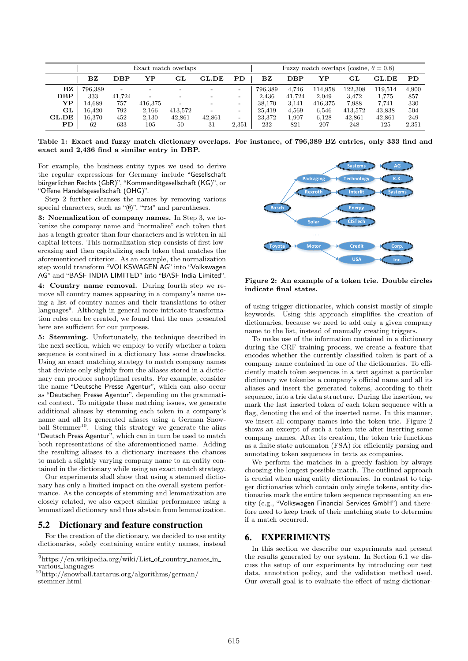| Exact match overlaps |                         |        |         |         | Fuzzy match overlaps (cosine, $\theta = 0.8$ ) |                          |             |        |         |         |              |           |
|----------------------|-------------------------|--------|---------|---------|------------------------------------------------|--------------------------|-------------|--------|---------|---------|--------------|-----------|
|                      | $\mathbf{B} \mathbf{Z}$ | DBP    | YP      | GL      | <b>GL.DE</b>                                   | PD                       | $_{\rm BZ}$ | DBP    | YP      | GL      | <b>GL.DE</b> | <b>PD</b> |
| BZ                   | 796,389                 | -      |         |         |                                                | $\overline{\phantom{a}}$ | 796.389     | 4.746  | 114.958 | 122.308 | 119.514      | 4,900     |
| DBP                  | 333                     | 41.724 |         |         |                                                | $\overline{\phantom{0}}$ | 2.436       | 41,724 | 2.049   | 3,472   | 1.775        | 857       |
| YP                   | 14.689                  | 757    | 416.375 |         |                                                | $\overline{\phantom{0}}$ | 38.170      | 3,141  | 416,375 | 7,988   | 7.741        | 330       |
| GL                   | 16.420                  | 792    | 2,166   | 413,572 |                                                | $\overline{\phantom{a}}$ | 25.419      | 4,569  | 6,546   | 413,572 | 43,838       | 504       |
| GL.DE                | 16.370                  | 452    | 2,130   | 42.861  | 42.861                                         | $\overline{\phantom{0}}$ | 23.372      | 1,907  | 6.128   | 42.861  | 42,861       | 249       |
| ${\bf PD}$           | 62                      | 633    | 105     | 50      | 31                                             | 2,351                    | 232         | 821    | 207     | 248     | 125          | 2,351     |

Table 1: Exact and fuzzy match dictionary overlaps. For instance, of 796,389 BZ entries, only 333 find and exact and 2,436 find a similar entry in DBP.

For example, the business entity types we used to derive the regular expressions for Germany include "Gesellschaft bürgerlichen Rechts (GbR)", "Kommanditgesellschaft (KG)", or "Offene Handelsgesellschaft (OHG)".

Step 2 further cleanses the names by removing various special characters, such as " $\mathbb{R}$ ", "TM" and parentheses.

3: Normalization of company names. In Step 3, we tokenize the company name and "normalize" each token that has a length greater than four characters and is written in all capital letters. This normalization step consists of first lowercasing and then capitalizing each token that matches the aforementioned criterion. As an example, the normalization step would transform "VOLKSWAGEN AG" into "Volkswagen AG" and "BASF INDIA LIMITED" into "BASF India Limited".

4: Country name removal. During fourth step we remove all country names appearing in a company's name using a list of country names and their translations to other languages<sup>9</sup>. Although in general more intricate transformation rules can be created, we found that the ones presented here are sufficient for our purposes.

5: Stemming. Unfortunately, the technique described in the next section, which we employ to verify whether a token sequence is contained in a dictionary has some drawbacks. Using an exact matching strategy to match company names that deviate only slightly from the aliases stored in a dictionary can produce suboptimal results. For example, consider the name "Deutsche Presse Agentur", which can also occur as "Deutschen Presse Agentur", depending on the grammatical context. To mitigate these matching issues, we generate additional aliases by stemming each token in a company's name and all its generated aliases using a German Snowball Stemmer<sup>10</sup>. Using this strategy we generate the alias "Deutsch Press Agentur", which can in turn be used to match both representations of the aforementioned name. Adding the resulting aliases to a dictionary increases the chances to match a slightly varying company name to an entity contained in the dictionary while using an exact match strategy.

Our experiments shall show that using a stemmed dictionary has only a limited impact on the overall system performance. As the concepts of stemming and lemmatization are closely related, we also expect similar performance using a lemmatized dictionary and thus abstain from lemmatization.

### 5.2 Dictionary and feature construction

For the creation of the dictionary, we decided to use entity dictionaries, solely containing entire entity names, instead



Figure 2: An example of a token trie. Double circles indicate final states.

of using trigger dictionaries, which consist mostly of simple keywords. Using this approach simplifies the creation of dictionaries, because we need to add only a given company name to the list, instead of manually creating triggers.

To make use of the information contained in a dictionary during the CRF training process, we create a feature that encodes whether the currently classified token is part of a company name contained in one of the dictionaries. To efficiently match token sequences in a text against a particular dictionary we tokenize a company's official name and all its aliases and insert the generated tokens, according to their sequence, into a trie data structure. During the insertion, we mark the last inserted token of each token sequence with a flag, denoting the end of the inserted name. In this manner, we insert all company names into the token trie. Figure 2 shows an excerpt of such a token trie after inserting some company names. After its creation, the token trie functions as a finite state automaton (FSA) for efficiently parsing and annotating token sequences in texts as companies.

We perform the matches in a greedy fashion by always choosing the longest possible match. The outlined approach is crucial when using entity dictionaries. In contrast to trigger dictionaries which contain only single tokens, entity dictionaries mark the entire token sequence representing an entity (e.g., "Volkswagen Financial Services GmbH") and therefore need to keep track of their matching state to determine if a match occurred.

### 6. EXPERIMENTS

In this section we describe our experiments and present the results generated by our system. In Section 6.1 we discuss the setup of our experiments by introducing our test data, annotation policy, and the validation method used. Our overall goal is to evaluate the effect of using dictionar-

 $^9$ https://en.wikipedia.org/wiki/List\_of\_country\_names\_in\_ various\_languages

 $\rm ^{10}http://snowball.tartarus.org/algorithms/german/$ stemmer.html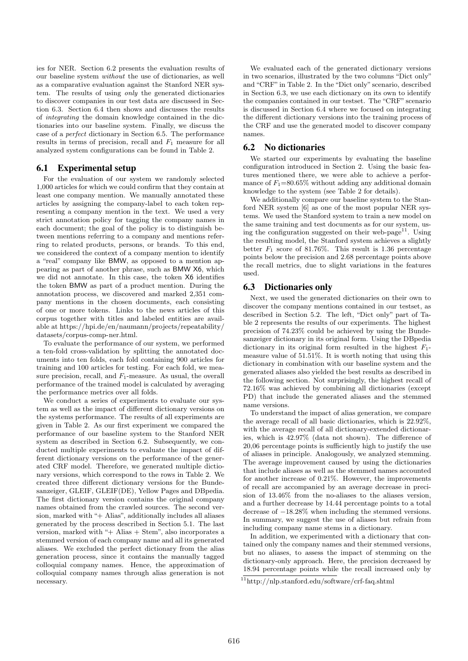ies for NER. Section 6.2 presents the evaluation results of our baseline system without the use of dictionaries, as well as a comparative evaluation against the Stanford NER system. The results of using only the generated dictionaries to discover companies in our test data are discussed in Section 6.3. Section 6.4 then shows and discusses the results of integrating the domain knowledge contained in the dictionaries into our baseline system. Finally, we discuss the case of a perfect dictionary in Section 6.5. The performance results in terms of precision, recall and  $F_1$  measure for all analyzed system configurations can be found in Table 2.

#### 6.1 Experimental setup

For the evaluation of our system we randomly selected 1,000 articles for which we could confirm that they contain at least one company mention. We manually annotated these articles by assigning the company-label to each token representing a company mention in the text. We used a very strict annotation policy for tagging the company names in each document; the goal of the policy is to distinguish between mentions referring to a company and mentions referring to related products, persons, or brands. To this end, we considered the context of a company mention to identify a "real" company like BMW, as opposed to a mention appearing as part of another phrase, such as BMW X6, which we did not annotate. In this case, the token X6 identifies the token BMW as part of a product mention. During the annotation process, we discovered and marked 2,351 company mentions in the chosen documents, each consisting of one or more tokens. Links to the news articles of this corpus together with titles and labeled entities are available at https://hpi.de/en/naumann/projects/repeatability/ datasets/corpus-comp-ner.html.

To evaluate the performance of our system, we performed a ten-fold cross-validation by splitting the annotated documents into ten folds, each fold containing 900 articles for training and 100 articles for testing. For each fold, we measure precision, recall, and  $F_1$ -measure. As usual, the overall performance of the trained model is calculated by averaging the performance metrics over all folds.

We conduct a series of experiments to evaluate our system as well as the impact of different dictionary versions on the systems performance. The results of all experiments are given in Table 2. As our first experiment we compared the performance of our baseline system to the Stanford NER system as described in Section 6.2. Subsequently, we conducted multiple experiments to evaluate the impact of different dictionary versions on the performance of the generated CRF model. Therefore, we generated multiple dictionary versions, which correspond to the rows in Table 2. We created three different dictionary versions for the Bundesanzeiger, GLEIF, GLEIF(DE), Yellow Pages and DBpedia. The first dictionary version contains the original company names obtained from the crawled sources. The second version, marked with "+ Alias", additionally includes all aliases generated by the process described in Section 5.1. The last version, marked with "+ Alias + Stem", also incorporates a stemmed version of each company name and all its generated aliases. We excluded the perfect dictionary from the alias generation process, since it contains the manually tagged colloquial company names. Hence, the approximation of colloquial company names through alias generation is not necessary.

We evaluated each of the generated dictionary versions in two scenarios, illustrated by the two columns "Dict only" and "CRF" in Table 2. In the "Dict only" scenario, described in Section 6.3, we use each dictionary on its own to identify the companies contained in our testset. The "CRF" scenario is discussed in Section 6.4 where we focused on integrating the different dictionary versions into the training process of the CRF and use the generated model to discover company names.

#### 6.2 No dictionaries

We started our experiments by evaluating the baseline configuration introduced in Section 2. Using the basic features mentioned there, we were able to achieve a performance of  $F_1=80.65\%$  without adding any additional domain knowledge to the system (see Table 2 for details).

We additionally compare our baseline system to the Stanford NER system [6] as one of the most popular NER systems. We used the Stanford system to train a new model on the same training and test documents as for our system, using the configuration suggested on their web-page<sup>11</sup>. Using the resulting model, the Stanford system achieves a slightly better  $F_1$  score of 81.76%. This result is 1.36 percentage points below the precision and 2.68 percentage points above the recall metrics, due to slight variations in the features used.

#### 6.3 Dictionaries only

Next, we used the generated dictionaries on their own to discover the company mentions contained in our testset, as described in Section 5.2. The left, "Dict only" part of Table 2 represents the results of our experiments. The highest precision of 74.23% could be achieved by using the Bundesanzeiger dictionary in its original form. Using the DBpedia dictionary in its original form resulted in the highest  $F_1$ measure value of 51.51%. It is worth noting that using this dictionary in combination with our baseline system and the generated aliases also yielded the best results as described in the following section. Not surprisingly, the highest recall of 72.16% was achieved by combining all dictionaries (except PD) that include the generated aliases and the stemmed name versions.

To understand the impact of alias generation, we compare the average recall of all basic dictionaries, which is 22.92%, with the average recall of all dictionary-extended dictionaries, which is 42.97% (data not shown). The difference of 20,06 percentage points is sufficiently high to justify the use of aliases in principle. Analogously, we analyzed stemming. The average improvement caused by using the dictionaries that include aliases as well as the stemmed names accounted for another increase of 0.21%. However, the improvements of recall are accompanied by an average decrease in precision of 13.46% from the no-aliases to the aliases version, and a further decrease by 14.44 percentage points to a total decrease of −18.28% when including the stemmed versions. In summary, we suggest the use of aliases but refrain from including company name stems in a dictionary.

In addition, we experimented with a dictionary that contained only the company names and their stemmed versions, but no aliases, to assess the impact of stemming on the dictionary-only approach. Here, the precision decreased by 18.94 percentage points while the recall increased only by

<sup>11</sup>http://nlp.stanford.edu/software/crf-faq.shtml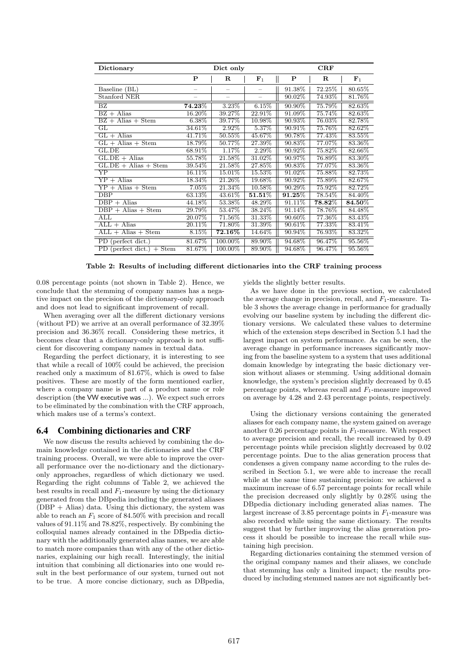| Dictionary                        |                               | Dict only   |                             | CRF                  |                        |                        |  |
|-----------------------------------|-------------------------------|-------------|-----------------------------|----------------------|------------------------|------------------------|--|
|                                   | P                             | $\mathbf R$ | $\mathsf{I}$<br>${\bf F}_1$ | P                    | R                      | ${\bf F}_1$            |  |
| Baseline (BL)                     |                               |             | -                           | 91.38%               | 72.25\%                | 80.65%                 |  |
| Stanford NER                      |                               |             | $\overline{\phantom{0}}$    | 90.02\%              | 74.93%                 | 81.76%                 |  |
| BZ                                | $\overline{\textbf{74.23\%}}$ | 3.23%       | 6.15%                       | 90.90%               | 75.79%                 | 82.63%                 |  |
| $BZ + \text{Alias}$               | 16.20%                        | 39.27%      | 22.91%                      | 91.09%               | 75.74%                 | 82.63%                 |  |
| $BZ + Alias + Stem$               | 6.38%                         | 39.77%      | 10.98%                      | 90.93%               | 76.03%                 | 82.78%                 |  |
| GL                                | 34.61%                        | 2.92%       | 5.37%                       | 90.91%               | 75.76%                 | 82.62%                 |  |
| $GL + Alias$                      | 41.71%                        | $50.55\%$   | 45.67%                      | 90.78%               | 77.43%                 | 83.55%                 |  |
| $GL + Alias + Stem$               | 18.79%                        | 50.77%      | 27.39%                      | 90.83%               | 77.07%                 | 83.36%                 |  |
| GL.DE                             | 68.91%                        | 1.17%       | 2.29%                       | 90.92%               | 75.82%                 | 82.66%                 |  |
| $GL$ DE + Alias                   | 55.78%                        | 21.58%      | 31.02%                      | 90.97%               | 76.89%                 | 83.30%                 |  |
| $GL.DE + Alias + Stem$            | 39.54%                        | 21.58%      | 27.85%                      | 90.83%               | 77.07%                 | 83.36%                 |  |
| $\overline{\text{YP}}$            | 16.11%                        | 15.01%      | 15.53%                      | 91.02%               | 75.88%                 | 82.73%                 |  |
| $YP + \text{Alias}$               | 18.34%                        | 21.26%      | 19.68%                      | 90.92%               | 75.89%                 | 82.67%                 |  |
| $YP + \text{Alias} + \text{Stem}$ | 7.05%                         | 21.34\%     | 10.58%                      | 90.29%               | 75.92%                 | 82.72%                 |  |
| $\overline{DBP}$                  | 63.13%                        | 43.61%      | $\overline{\bf 51.51\%}$    | $\overline{91.25\%}$ | 78.54%                 | 84.40%                 |  |
| $DBP + Alias$                     | 44.18%                        | 53.38%      | 48.29%                      | 91.11\%              | $\boldsymbol{78.82\%}$ | $\boldsymbol{84.50\%}$ |  |
| $\overline{DBP}$ + Alias + Stem   | 29.79%                        | 53.47%      | 38.24%                      | 91.14%               | 78.76%                 | 84.48%                 |  |
| ALL                               | 20.07%                        | 71.56%      | 31.33%                      | 90.60%               | 77.36%                 | 83.43\%                |  |
| $ALL + Alias$                     | 20.11%                        | 71.80%      | 31.39%                      | 90.61\%              | 77.33%                 | 83.41%                 |  |
| $ALL + Alias + Stem$              | 8.15%                         | $72.16\%$   | 14.64%                      | 90.94%               | 76.93%                 | 83.32%                 |  |
| PD (perfect dict.)                | 81.67%                        | 100.00%     | 89.90%                      | 94.68%               | 96.47%                 | 95.56%                 |  |
| PD (perfect dict.) $+$ Stem       | 81.67%                        | 100.00%     | 89.90%                      | 94.68%               | 96.47%                 | 95.56%                 |  |

Table 2: Results of including different dictionaries into the CRF training process

0.08 percentage points (not shown in Table 2). Hence, we conclude that the stemming of company names has a negative impact on the precision of the dictionary-only approach and does not lead to significant improvement of recall.

When averaging over all the different dictionary versions (without PD) we arrive at an overall performance of 32.39% precision and 36.36% recall. Considering these metrics, it becomes clear that a dictionary-only approach is not sufficient for discovering company names in textual data.

Regarding the perfect dictionary, it is interesting to see that while a recall of 100% could be achieved, the precision reached only a maximum of 81.67%, which is owed to false positives. These are mostly of the form mentioned earlier, where a company name is part of a product name or role description (the VW executive was ...). We expect such errors to be eliminated by the combination with the CRF approach, which makes use of a terms's context.

#### 6.4 Combining dictionaries and CRF

We now discuss the results achieved by combining the domain knowledge contained in the dictionaries and the CRF training process. Overall, we were able to improve the overall performance over the no-dictionary and the dictionaryonly approaches, regardless of which dictionary we used. Regarding the right columns of Table 2, we achieved the best results in recall and  $F_1$ -measure by using the dictionary generated from the DBpedia including the generated aliases  $(DBP + Alias)$  data. Using this dictionary, the system was able to reach an  $F_1$  score of 84.50% with precision and recall values of 91.11% and 78.82%, respectively. By combining the colloquial names already contained in the DBpedia dictionary with the additionally generated alias names, we are able to match more companies than with any of the other dictionaries, explaining our high recall. Interestingly, the initial intuition that combining all dictionaries into one would result in the best performance of our system, turned out not to be true. A more concise dictionary, such as DBpedia, yields the slightly better results.

As we have done in the previous section, we calculated the average change in precision, recall, and  $F_1$ -measure. Table 3 shows the average change in performance for gradually evolving our baseline system by including the different dictionary versions. We calculated these values to determine which of the extension steps described in Section 5.1 had the largest impact on system performance. As can be seen, the average change in performance increases significantly moving from the baseline system to a system that uses additional domain knowledge by integrating the basic dictionary version without aliases or stemming. Using additional domain knowledge, the system's precision slightly decreased by 0.45 percentage points, whereas recall and  $F_1$ -measure improved on average by 4.28 and 2.43 percentage points, respectively.

Using the dictionary versions containing the generated aliases for each company name, the system gained on average another 0.26 percentage points in  $F_1$ -measure. With respect to average precision and recall, the recall increased by 0.49 percentage points while precision slightly decreased by 0.02 percentage points. Due to the alias generation process that condenses a given company name according to the rules described in Section 5.1, we were able to increase the recall while at the same time sustaining precision: we achieved a maximum increase of 6.57 percentage points for recall while the precision decreased only slightly by 0.28% using the DBpedia dictionary including generated alias names. The largest increase of 3.85 percentage points in  $F_1$ -measure was also recorded while using the same dictionary. The results suggest that by further improving the alias generation process it should be possible to increase the recall while sustaining high precision.

Regarding dictionaries containing the stemmed version of the original company names and their aliases, we conclude that stemming has only a limited impact; the results produced by including stemmed names are not significantly bet-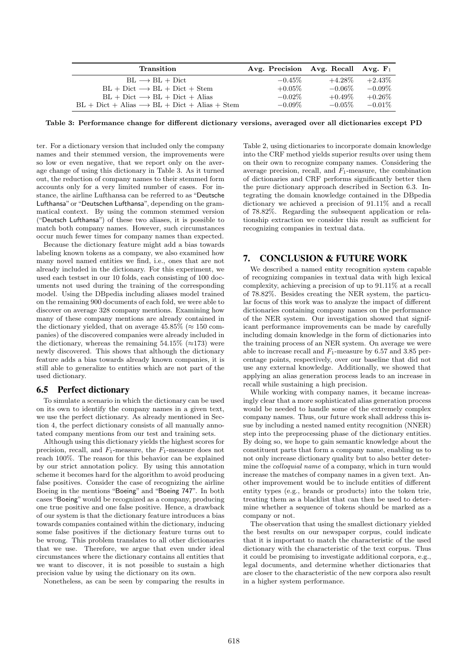| Transition                                               | Avg. Precision Avg. Recall Avg. $F_1$ |           |           |
|----------------------------------------------------------|---------------------------------------|-----------|-----------|
| $BL \longrightarrow BL + Dict$                           | $-0.45\%$                             | $+4.28\%$ | $+2.43\%$ |
| $BL + Dict \longrightarrow BL + Dict + Stem$             | $+0.05\%$                             | $-0.06\%$ | $-0.09\%$ |
| $BL + Dict \longrightarrow BL + Dict + Alias$            | $-0.02\%$                             | $+0.49\%$ | $+0.26\%$ |
| $BL + Dict + Alias \rightarrow BL + Dict + Alias + Stem$ | $-0.09\%$                             | $-0.05\%$ | $-0.01\%$ |

Table 3: Performance change for different dictionary versions, averaged over all dictionaries except PD

ter. For a dictionary version that included only the company names and their stemmed version, the improvements were so low or even negative, that we report only on the average change of using this dictionary in Table 3. As it turned out, the reduction of company names to their stemmed form accounts only for a very limited number of cases. For instance, the airline Lufthansa can be referred to as "Deutsche Lufthansa" or "Deutschen Lufthansa", depending on the grammatical context. By using the common stemmed version ("Deutsch Lufthansa") of these two aliases, it is possible to match both company names. However, such circumstances occur much fewer times for company names than expected.

Because the dictionary feature might add a bias towards labeling known tokens as a company, we also examined how many novel named entities we find, i.e., ones that are not already included in the dictionary. For this experiment, we used each testset in our 10 folds, each consisting of 100 documents not used during the training of the corresponding model. Using the DBpedia including aliases model trained on the remaining 900 documents of each fold, we were able to discover on average 328 company mentions. Examining how many of these company mentions are already contained in the dictionary yielded, that on average  $45.85\%$  ( $\approx 150$  companies) of the discovered companies were already included in the dictionary, whereas the remaining  $54.15\%$  ( $\approx$ 173) were newly discovered. This shows that although the dictionary feature adds a bias towards already known companies, it is still able to generalize to entities which are not part of the used dictionary.

#### 6.5 Perfect dictionary

To simulate a scenario in which the dictionary can be used on its own to identify the company names in a given text, we use the perfect dictionary. As already mentioned in Section 4, the perfect dictionary consists of all manually annotated company mentions from our test and training sets.

Although using this dictionary yields the highest scores for precision, recall, and  $F_1$ -measure, the  $F_1$ -measure does not reach 100%. The reason for this behavior can be explained by our strict annotation policy. By using this annotation scheme it becomes hard for the algorithm to avoid producing false positives. Consider the case of recognizing the airline Boeing in the mentions "Boeing" and "Boeing 747". In both cases "Boeing" would be recognized as a company, producing one true positive and one false positive. Hence, a drawback of our system is that the dictionary feature introduces a bias towards companies contained within the dictionary, inducing some false positives if the dictionary feature turns out to be wrong. This problem translates to all other dictionaries that we use. Therefore, we argue that even under ideal circumstances where the dictionary contains all entities that we want to discover, it is not possible to sustain a high precision value by using the dictionary on its own.

Nonetheless, as can be seen by comparing the results in

Table 2, using dictionaries to incorporate domain knowledge into the CRF method yields superior results over using them on their own to recognize company names. Considering the average precision, recall, and  $F_1$ -measure, the combination of dictionaries and CRF performs significantly better then the pure dictionary approach described in Section 6.3. Integrating the domain knowledge contained in the DBpedia dictionary we achieved a precision of 91.11% and a recall of 78.82%. Regarding the subsequent application or relationship extraction we consider this result as sufficient for recognizing companies in textual data.

### 7. CONCLUSION & FUTURE WORK

We described a named entity recognition system capable of recognizing companies in textual data with high lexical complexity, achieving a precision of up to 91.11% at a recall of 78.82%. Besides creating the NER system, the particular focus of this work was to analyze the impact of different dictionaries containing company names on the performance of the NER system. Our investigation showed that significant performance improvements can be made by carefully including domain knowledge in the form of dictionaries into the training process of an NER system. On average we were able to increase recall and  $F_1$ -measure by 6.57 and 3.85 percentage points, respectively, over our baseline that did not use any external knowledge. Additionally, we showed that applying an alias generation process leads to an increase in recall while sustaining a high precision.

While working with company names, it became increasingly clear that a more sophisticated alias generation process would be needed to handle some of the extremely complex company names. Thus, our future work shall address this issue by including a nested named entity recognition (NNER) step into the preprocessing phase of the dictionary entities. By doing so, we hope to gain semantic knowledge about the constituent parts that form a company name, enabling us to not only increase dictionary quality but to also better determine the colloquial name of a company, which in turn would increase the matches of company names in a given text. Another improvement would be to include entities of different entity types (e.g., brands or products) into the token trie, treating them as a blacklist that can then be used to determine whether a sequence of tokens should be marked as a company or not.

The observation that using the smallest dictionary yielded the best results on our newspaper corpus, could indicate that it is important to match the characteristic of the used dictionary with the characteristic of the text corpus. Thus it could be promising to investigate additional corpora, e.g., legal documents, and determine whether dictionaries that are closer to the characteristic of the new corpora also result in a higher system performance.